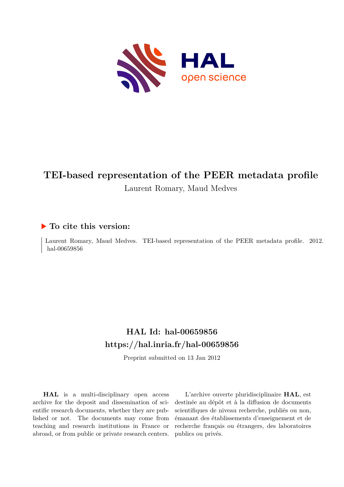

# **TEI-based representation of the PEER metadata profile** Laurent Romary, Maud Medves

### **To cite this version:**

Laurent Romary, Maud Medves. TEI-based representation of the PEER metadata profile. 2012. hal-00659856

# **HAL Id: hal-00659856 <https://hal.inria.fr/hal-00659856>**

Preprint submitted on 13 Jan 2012

**HAL** is a multi-disciplinary open access archive for the deposit and dissemination of scientific research documents, whether they are published or not. The documents may come from teaching and research institutions in France or abroad, or from public or private research centers.

L'archive ouverte pluridisciplinaire **HAL**, est destinée au dépôt et à la diffusion de documents scientifiques de niveau recherche, publiés ou non, émanant des établissements d'enseignement et de recherche français ou étrangers, des laboratoires publics ou privés.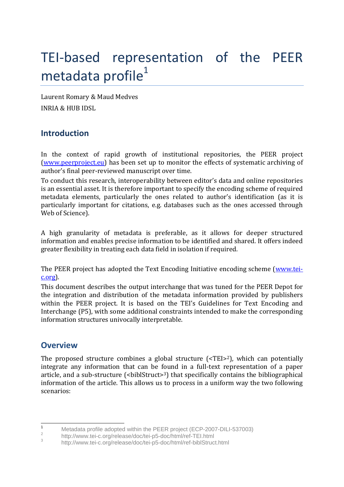# TEI-based representation of the PEER metadata profile<sup>1</sup>

Laurent Romary & Maud Medves INRIA & HUB IDSL

# **Introduction**

In the context of rapid growth of institutional repositories, the PEER project [\(www.peerproject.eu\)](http://www.peerproject.eu/) has been set up to monitor the effects of systematic archiving of author's final peer-reviewed manuscript over time.

To conduct this research, interoperability between editor's data and online repositories is an essential asset. It is therefore important to specify the encoding scheme of required metadata elements, particularly the ones related to author's identification (as it is particularly important for citations, e.g. databases such as the ones accessed through Web of Science).

A high granularity of metadata is preferable, as it allows for deeper structured information and enables precise information to be identified and shared. It offers indeed greater flexibility in treating each data field in isolation if required.

The PEER project has adopted the Text Encoding Initiative encoding scheme [\(www.tei](http://www.tei-c.org/)[c.org\)](http://www.tei-c.org/).

This document describes the output interchange that was tuned for the PEER Depot for the integration and distribution of the metadata information provided by publishers within the PEER project. It is based on the TEI's Guidelines for Text Encoding and Interchange (P5), with some additional constraints intended to make the corresponding information structures univocally interpretable.

# **Overview**

The proposed structure combines a global structure (<TEI>2), which can potentially integrate any information that can be found in a full-text representation of a paper article, and a sub-structure  $\left\{\text{<} \text{biblStruct}\right\}$  that specifically contains the bibliographical information of the article. This allows us to process in a uniform way the two following scenarios:

 $\overline{1}$ Metadata profile adopted within the PEER project (ECP-2007-DILI-537003)

<sup>2</sup> http://www.tei-c.org/release/doc/tei-p5-doc/html/ref-TEI.html

<sup>3</sup> http://www.tei-c.org/release/doc/tei-p5-doc/html/ref-biblStruct.html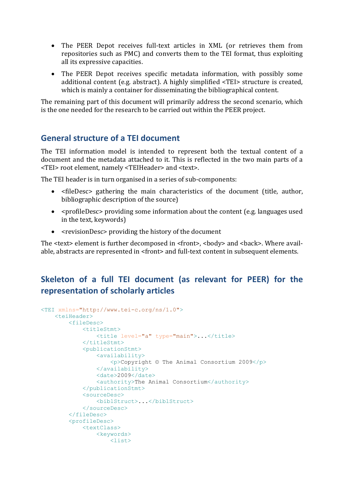- The PEER Depot receives full-text articles in XML (or retrieves them from repositories such as PMC) and converts them to the TEI format, thus exploiting all its expressive capacities.
- The PEER Depot receives specific metadata information, with possibly some additional content (e.g. abstract). A highly simplified <TEI> structure is created, which is mainly a container for disseminating the bibliographical content.

The remaining part of this document will primarily address the second scenario, which is the one needed for the research to be carried out within the PEER project.

## **General structure of a TEI document**

The TEI information model is intended to represent both the textual content of a document and the metadata attached to it. This is reflected in the two main parts of a <TEI> root element, namely <TEIHeader> and <text>.

The TEI header is in turn organised in a series of sub-components:

- <fileDesc> gathering the main characteristics of the document (title, author, bibliographic description of the source)
- <profileDesc> providing some information about the content (e.g. languages used in the text, keywords)
- <revisionDesc> providing the history of the document

The <text> element is further decomposed in <front>, <br/> <br/>body> and <br/> <br/>kack>. Where available, abstracts are represented in <front> and full-text content in subsequent elements.

# **Skeleton of a full TEI document (as relevant for PEER) for the representation of scholarly articles**

```
<TEI xmlns="http://www.tei-c.org/ns/1.0">
     <teiHeader>
          <fileDesc>
              <titleStmt>
                  <title level="a" type="main">...</title>
             \langletitleStmt>
              <publicationStmt>
                   <availability>
                      \langle p \rangleCopyright © The Animal Consortium 2009\langle p \rangle </availability>
                  <date>2009</date>
                  <authority>The Animal Consortium</authority>
              </publicationStmt>
              <sourceDesc>
                  <biblStruct>...</biblStruct>
              </sourceDesc>
          </fileDesc>
          <profileDesc>
              <textClass>
                  <keywords>
                      \langlelist\rangle
```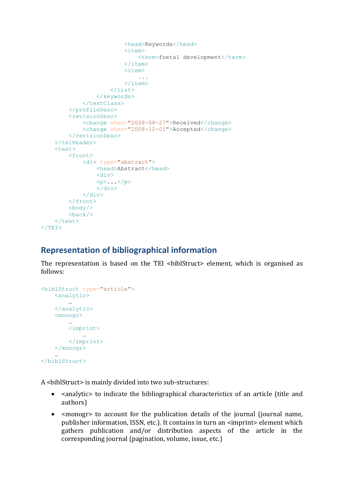```
 <head>Keywords</head>
                            <item>
                                <term>foetal development</term>
                            \langleitem\rangle<item>
 ...
                            \langleitem\rangle\langle/list>
                  </keywords>
             \langle/textClass>
          </profileDesc>
          <revisionDesc>
              <change when="2008-08-27">Received</change>
              <change when="2008-12-01">Accepted</change>
         </revisionDesc>
     </teiHeader>
     <text>
          <front>
              <div type="abstract">
                   <head>Abstract</head>
                  <div>
                  \langle p \rangle...\langle p \rangle\langle div>
             \langle/div>
          </front>
          <body/>
         <back/>
    \langle/text>
</TEI>
```
## **Representation of bibliographical information**

The representation is based on the TEI <br/>biblStruct> element, which is organised as follows:

```
<biblStruct type="article">
    <analytic>
        …
    </analytic>
    <monogr>
 …
         <imprint>
            … 
        </imprint>
     </monogr>
 …
</biblStruct>
```
A <biblStruct> is mainly divided into two sub-structures:

- <analytic> to indicate the bibliographical characteristics of an article (title and authors)
- <monogr> to account for the publication details of the journal (journal name, publisher information, ISSN, etc.). It contains in turn an <imprint> element which gathers publication and/or distribution aspects of the article in the corresponding journal (pagination, volume, issue, etc.)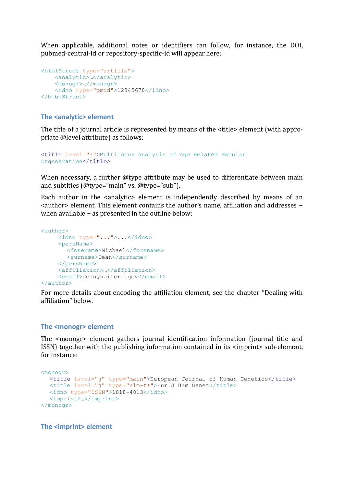When applicable, additional notes or identifiers can follow, for instance, the DOI, pubmed-central-id or repository-specific-id will appear here:

```
<biblStruct type="article">
    <analytic>…</analytic>
     <monogr>…</monogr>
     <idno type="pmid">12345678</idno>
</biblStruct>
```
### **The <analytic> element**

The title of a journal article is represented by means of the <title> element (with appropriate @level attribute) as follows:

```
<title level="a">Multilocus Analysis of Age Related Macular 
Degeneration</title>
```
When necessary, a further @type attribute may be used to differentiate between main and subtitles (@type="main" vs. @type="sub").

Each author in the <analytic> element is independently described by means of an <author> element. This element contains the author's name, affiliation and addresses − when available − as presented in the outline below:

```
<author>
    <idno type="...">...</idno>
    <persName>
       <forename>Michael</forename>
       <surname>Dean</surname>
    </persName>
    <affiliation>…</affiliation>
    <email>dean@ncifcrf.gov</email>
</author>
```
For more details about encoding the affiliation element, see the chapter "Dealing with affiliation" below.

#### **The <monogr> element**

The <monogr> element gathers journal identification information (journal title and ISSN) together with the publishing information contained in its <imprint> sub-element, for instance:

```
<monogr>
  <title level="j" type="main">European Journal of Human Genetics</title>
  <title level="j" type="nlm-ta">Eur J Hum Genet</title>
  <idno type="ISSN">1018-4813</idno>
  <imprint>…</imprint>
</monogr>
```
**The <imprint> element**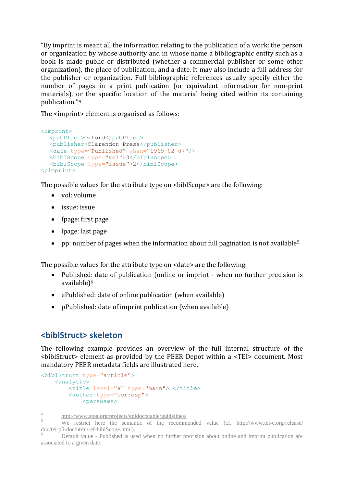"By imprint is meant all the information relating to the publication of a work: the person or organization by whose authority and in whose name a bibliographic entity such as a book is made public or distributed (whether a commercial publisher or some other organization), the place of publication, and a date. It may also include a full address for the publisher or organization. Full bibliographic references usually specify either the number of pages in a print publication (or equivalent information for non-print materials), or the specific location of the material being cited within its containing publication."<sup>4</sup>

The <imprint> element is organised as follows:

```
<imprint>
  <pubPlace>Oxford</pubPlace>
  <publisher>Clarendon Press</publisher>
  <date type="Published" when="1969-02-07"/>
  <biblScope type="vol">3</biblScope>
  <biblScope type="issue">2</biblScope>
</imprint>
```
The possible values for the attribute type on <br/>biblScope> are the following:

- vol: volume
- issue: issue
- fpage: first page
- lpage: last page
- **•** pp: number of pages when the information about full pagination is not available<sup>5</sup>

The possible values for the attribute type on <date> are the following:

- Published: date of publication (online or imprint when no further precision is available)<sup>6</sup>
- ePublished: date of online publication (when available)
- pPublished: date of imprint publication (when available)

## **<biblStruct> skeleton**

The following example provides an overview of the full internal structure of the <biblStruct> element as provided by the PEER Depot within a <TEI> document. Most mandatory PEER metadata fields are illustrated here.

```
<biblStruct type="article">
     <analytic>
        <title level="a" type="main">...</title>
         <author type="corresp">
             <persName>
```
 4 http://www.stoa.org/projects/epidoc/stable/guidelines/

<sup>&</sup>lt;sup>5</sup><br>We restrict here the semantic of the recommended value (cf. http://www.tei-c.org/release/ doc/tei-p5-doc/html/ref-biblScope.html).

<sup>6</sup> Default value - Published is used when no further precision about online and imprint publication are associated to a given date.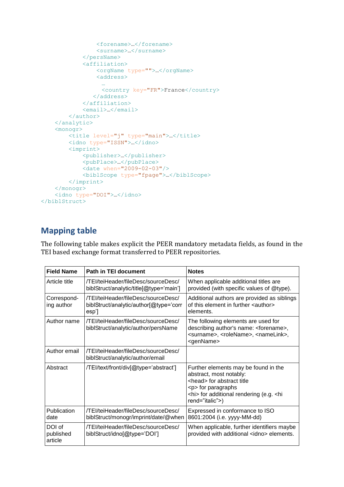```
 <forename>…</forename>
                  <surname>…</surname>
              </persName>
              <affiliation>
                  <orgName type="">…</orgName>
                  <address>
                   …
                   <country key="FR">France</country>
                </address>
              </affiliation>
              <email>…</email>
         </author>
     </analytic>
     <monogr>
        <title level="j" type="main">...</title>
        <idno type="ISSN">...</idno>
         <imprint>
             <publisher>…</publisher>
              <pubPlace>…</pubPlace>
             \frac{1}{6} <date when="2009-02-03"/>
              <biblScope type="fpage">…</biblScope>
         </imprint>
     </monogr>
     <idno type="DOI">…</idno>
</biblStruct>
```
# **Mapping table**

The following table makes explicit the PEER mandatory metadata fields, as found in the TEI based exchange format transferred to PEER repositories.

| <b>Field Name</b>              | Path in TEI document                                                                   | <b>Notes</b>                                                                                                                                                                                                  |
|--------------------------------|----------------------------------------------------------------------------------------|---------------------------------------------------------------------------------------------------------------------------------------------------------------------------------------------------------------|
| Article title                  | /TEI/teiHeader/fileDesc/sourceDesc/<br>biblStruct/analytic/title[@type='main']         | When applicable additional titles are<br>provided (with specific values of @type).                                                                                                                            |
| Correspond-<br>ing author      | /TEI/teiHeader/fileDesc/sourceDesc/<br>biblStruct/analytic/author[@type='corr<br>esp'] | Additional authors are provided as siblings<br>of this element in further <author><br/>elements.</author>                                                                                                     |
| Author name                    | /TEI/teiHeader/fileDesc/sourceDesc/<br>biblStruct/analytic/author/persName             | The following elements are used for<br>describing author's name: <forename>,<br/><surname>, <rolename>, <namelink>,<br/><genname></genname></namelink></rolename></surname></forename>                        |
| Author email                   | /TEI/teiHeader/fileDesc/sourceDesc/<br>biblStruct/analytic/author/email                |                                                                                                                                                                                                               |
| Abstract                       | /TEI/text/front/div[@type='abstract']                                                  | Further elements may be found in the<br>abstract, most notably:<br><head> for abstract title<br/><p> for paragraphs<br/><hi> for additional rendering (e.g. <hi<br>rend="italic"&gt;)</hi<br></hi></p></head> |
| Publication<br>date            | /TEI/teiHeader/fileDesc/sourceDesc/<br>biblStruct/monogr/imprint/date/@when            | Expressed in conformance to ISO<br>8601:2004 (i.e. yyyy-MM-dd)                                                                                                                                                |
| DOI of<br>published<br>article | /TEI/teiHeader/fileDesc/sourceDesc/<br>biblStruct/idno[@type='DOI']                    | When applicable, further identifiers maybe<br>provided with additional <idno> elements.</idno>                                                                                                                |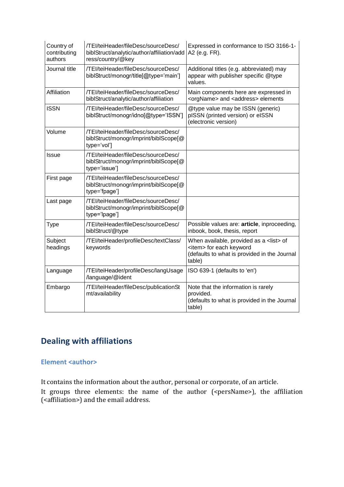| Country of<br>contributing<br>authors | /TEI/teiHeader/fileDesc/sourceDesc/<br>biblStruct/analytic/author/affiliation/add<br>ress/country/@key | Expressed in conformance to ISO 3166-1-<br>A2 (e.g. FR).                                                                                      |
|---------------------------------------|--------------------------------------------------------------------------------------------------------|-----------------------------------------------------------------------------------------------------------------------------------------------|
| Journal title                         | /TEI/teiHeader/fileDesc/sourceDesc/<br>biblStruct/monogr/title[@type='main']                           | Additional titles (e.g. abbreviated) may<br>appear with publisher specific @type<br>values.                                                   |
| Affiliation                           | /TEI/teiHeader/fileDesc/sourceDesc/<br>biblStruct/analytic/author/affiliation                          | Main components here are expressed in<br><orgname> and <address> elements</address></orgname>                                                 |
| <b>ISSN</b>                           | /TEI/teiHeader/fileDesc/sourceDesc/<br>biblStruct/monogr/idno[@type='ISSN']                            | @type value may be ISSN (generic)<br>pISSN (printed version) or eISSN<br>(electronic version)                                                 |
| Volume                                | /TEI/teiHeader/fileDesc/sourceDesc/<br>biblStruct/monogr/imprint/biblScope[@<br>type='vol']            |                                                                                                                                               |
| Issue                                 | /TEI/teiHeader/fileDesc/sourceDesc/<br>biblStruct/monogr/imprint/biblScope[@<br>type='issue']          |                                                                                                                                               |
| First page                            | /TEI/teiHeader/fileDesc/sourceDesc/<br>biblStruct/monogr/imprint/biblScope[@<br>type='fpage']          |                                                                                                                                               |
| Last page                             | /TEI/teiHeader/fileDesc/sourceDesc/<br>biblStruct/monogr/imprint/biblScope[@<br>type='lpage']          |                                                                                                                                               |
| <b>Type</b>                           | /TEI/teiHeader/fileDesc/sourceDesc/<br>biblStruct/@type                                                | Possible values are: article, inproceeding,<br>inbook, book, thesis, report                                                                   |
| Subject<br>headings                   | /TEI/teiHeader/profileDesc/textClass/<br>keywords                                                      | When available, provided as a <list> of<br/><item> for each keyword<br/>(defaults to what is provided in the Journal<br/>table)</item></list> |
| Language                              | /TEI/teiHeader/profileDesc/langUsage<br>/language/@ident                                               | ISO 639-1 (defaults to 'en')                                                                                                                  |
| Embargo                               | /TEI/teiHeader/fileDesc/publicationSt<br>mt/availability                                               | Note that the information is rarely<br>provided.<br>(defaults to what is provided in the Journal<br>table)                                    |

# **Dealing with affiliations**

### **Element <author>**

It contains the information about the author, personal or corporate, of an article.

It groups three elements: the name of the author (<persName>), the affiliation (<affiliation>) and the email address.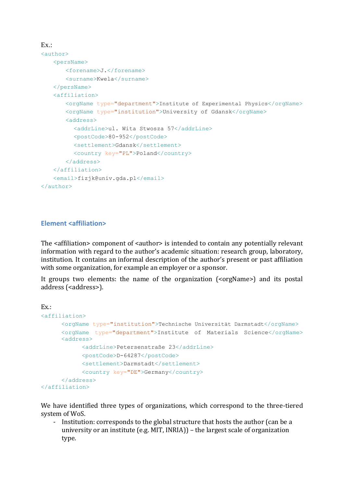```
Ex.:
<author>
   <persName>
       <forename>J.</forename>
       <surname>Kwela</surname>
   </persName>
   <affiliation>
       <orgName type="department">Institute of Experimental Physics</orgName>
       <orgName type="institution">University of Gdansk</orgName>
       <address>
         <addrLine>ul. Wita Stwosza 57</addrLine>
         <postCode>80-952</postCode>
         <settlement>Gdansk</settlement>
         <country key="PL">Poland</country>
       </address>
   </affiliation>
   <email>fizjk@univ.gda.pl</email>
</author>
```
### **Element <affiliation>**

The <affiliation> component of <author> is intended to contain any potentially relevant information with regard to the author's academic situation: research group, laboratory, institution. It contains an informal description of the author's present or past affiliation with some organization, for example an employer or a sponsor.

It groups two elements: the name of the organization (<orgName>) and its postal address (<address>).

```
Ex.:
<affiliation>
      <orgName type="institution">Technische Universität Darmstadt</orgName>
      <orgName type="department">Institute of Materials Science</orgName>
     <address>
            <addrLine>Petersenstraße 23</addrLine>
            <postCode>D-64287</postCode>
            <settlement>Darmstadt</settlement>
            <country key="DE">Germany</country>
      </address>
</affiliation>
```
We have identified three types of organizations, which correspond to the three-tiered system of WoS.

Institution: corresponds to the global structure that hosts the author (can be a university or an institute (e.g. MIT, INRIA)) – the largest scale of organization type.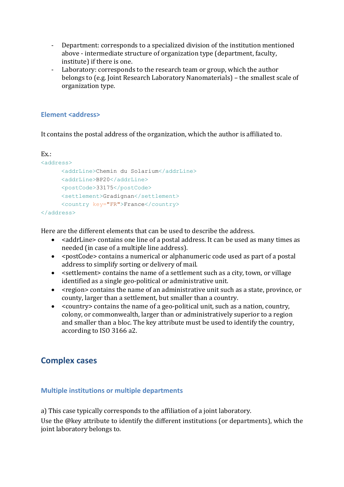- Department: corresponds to a specialized division of the institution mentioned above - intermediate structure of organization type (department, faculty, institute) if there is one.
- Laboratory: corresponds to the research team or group, which the author belongs to (e.g. Joint Research Laboratory Nanomaterials) – the smallest scale of organization type.

### **Element <address>**

It contains the postal address of the organization, which the author is affiliated to.

```
Ex.:
<address>
     <addrLine>Chemin du Solarium</addrLine>
     <addrLine>BP20</addrLine>
     <postCode>33175</postCode>
      <settlement>Gradignan</settlement>
      <country key="FR">France</country>
</address>
```
Here are the different elements that can be used to describe the address.

- <addrLine> contains one line of a postal address. It can be used as many times as needed (in case of a multiple line address).
- <postCode> contains a numerical or alphanumeric code used as part of a postal address to simplify sorting or delivery of mail.
- <settlement> contains the name of a settlement such as a city, town, or village identified as a single geo-political or administrative unit.
- <region> contains the name of an administrative unit such as a state, province, or county, larger than a settlement, but smaller than a country.
- <country> contains the name of a geo-political unit, such as a nation, country, colony, or commonwealth, larger than or administratively superior to a region and smaller than a bloc. The key attribute must be used to identify the country, according to ISO 3166 a2.

## **Complex cases**

### **Multiple institutions or multiple departments**

a) This case typically corresponds to the affiliation of a joint laboratory.

Use the @key attribute to identify the different institutions (or departments), which the joint laboratory belongs to.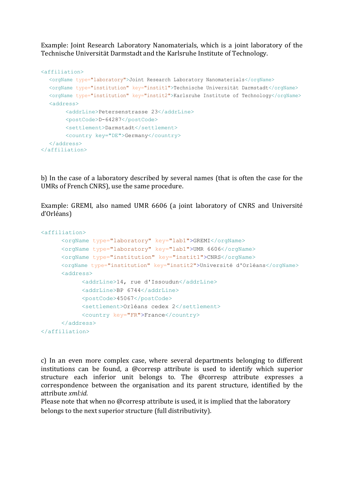Example: Joint Research Laboratory Nanomaterials, which is a joint laboratory of the Technische Universität Darmstadt and the Karlsruhe Institute of Technology.

```
<affiliation>
  <orgName type="laboratory">Joint Research Laboratory Nanomaterials</orgName>
  <orgName type="institution" key="instit1">Technische Universität Darmstadt</orgName>
  <orgName type="institution" key="instit2">Karlsruhe Institute of Technology</orgName>
  <address>
       <addrLine>Petersenstrasse 23</addrLine>
       <postCode>D-64287</postCode>
       <settlement>Darmstadt</settlement>
       <country key="DE">Germany</country>
  </address>
</affiliation>
```
b) In the case of a laboratory described by several names (that is often the case for the UMRs of French CNRS), use the same procedure.

Example: GREMI, also named UMR 6606 (a joint laboratory of CNRS and Université d'Orléans)

```
<affiliation>
      <orgName type="laboratory" key="lab1">GREMI</orgName>
      <orgName type="laboratory" key="lab1">UMR 6606</orgName>
      <orgName type="institution" key="instit1">CNRS</orgName>
      <orgName type="institution" key="instit2">Université d'Orléans</orgName>
      <address>
           <addrLine>14, rue d'Issoudun</addrLine>
            <addrLine>BP 6744</addrLine>
            <postCode>45067</postCode>
            <settlement>Orléans cedex 2</settlement>
            <country key="FR">France</country>
      </address>
</affiliation>
```
c) In an even more complex case, where several departments belonging to different institutions can be found, a @corresp attribute is used to identify which superior structure each inferior unit belongs to. The @corresp attribute expresses a correspondence between the organisation and its parent structure, identified by the attribute *xml:id*.

Please note that when no @corresp attribute is used, it is implied that the laboratory belongs to the next superior structure (full distributivity).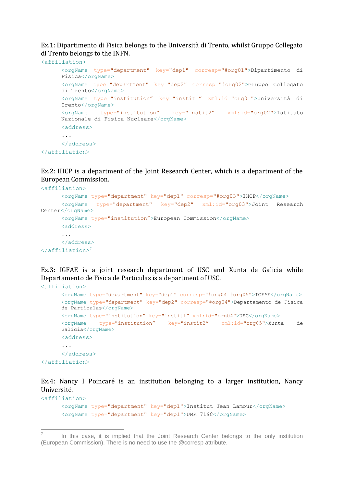Ex.1: Dipartimento di Fisica belongs to the Università di Trento, whilst Gruppo Collegato di Trento belongs to the INFN.

```
<affiliation>
     <orgName type="department" key="dep1" corresp="#org01">Dipartimento di 
     Fisica</orgName>
     <orgName type="department" key="dep2" corresp="#org02">Gruppo Collegato 
     di Trento</orgName>
     <orgName type="institution" key="instit1" xml:id="org01">Università di 
     Trento</orgName>
     <orgName type="institution" key="instit2" xml:id="org02">Istituto 
     Nazionale di Fisica Nucleare</orgName>
     <address>
      ...
     </address>
</affiliation>
```
Ex.2: IHCP is a department of the Joint Research Center, which is a department of the European Commission.

```
<affiliation>
      <orgName type="department" key="dep1" corresp="#org03">IHCP</orgName>
      <orgName type="department" key="dep2" xml:id="org03">Joint Research 
Center</orgName>
      <orgName type="institution">European Commission</orgName>
      <address>
      ...
      </address>
\langle /affiliation>7
```
Ex.3: IGFAE is a joint research department of USC and Xunta de Galicia while Departamento de Fisica de Particulas is a department of USC.

```
<affiliation>
      <orgName type="department" key="dep1" corresp="#org04 #org05">IGFAE</orgName>
      <orgName type="department" key="dep2" corresp="#org04">Departamento de Fisica 
      de Particulas</orgName>
      <orgName type="institution" key="instit1" xml:id="org04">USC</orgName>
      <orgName type="institution" key="instit2" xml:id="org05">Xunta de 
      Galicia</orgName>
      <address>
      ...
      </address>
</affiliation>
```
Ex.4: Nancy I Poincaré is an institution belonging to a larger institution, Nancy Université.

```
<orgName type="department" key="dep1">Institut Jean Lamour</orgName>
<orgName type="department" key="dep1">UMR 7198</orgName>
```
<affiliation>

 7 In this case, it is implied that the Joint Research Center belongs to the only institution (European Commission). There is no need to use the @corresp attribute.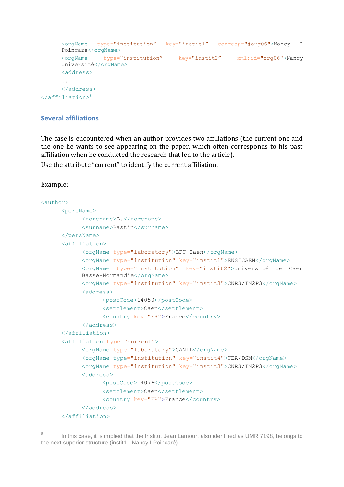```
<orgName type="institution" key="instit1" corresp="#org06">Nancy I 
      Poincaré</orgName>
      <orgName type="institution" key="instit2" xml:id="org06">Nancy 
      Université</orgName>
      <address>
      ...
      </address>
\langle /affiliation><sup>8</sup>
```
### **Several affiliations**

The case is encountered when an author provides two affiliations (the current one and the one he wants to see appearing on the paper, which often corresponds to his past affiliation when he conducted the research that led to the article).

Use the attribute "current" to identify the current affiliation.

### Example:

```
<author>
     <persName>
           <forename>B.</forename>
           <surname>Bastin</surname>
     </persName>
      <affiliation>
           <orgName type="laboratory">LPC Caen</orgName>
           <orgName type="institution" key="instit1">ENSICAEN</orgName>
           <orgName type="institution" key="instit2">Université de Caen 
           Basse-Normandie</orgName>
           <orgName type="institution" key="instit3">CNRS/IN2P3</orgName>
           <address>
                 <postCode>14050</postCode>
                 <settlement>Caen</settlement>
                 <country key="FR">France</country>
           </address>
     </affiliation>
     <affiliation type="current">
           <orgName type="laboratory">GANIL</orgName>
           <orgName type="institution" key="instit4">CEA/DSM</orgName>
           <orgName type="institution" key="instit3">CNRS/IN2P3</orgName>
           <address>
                 <postCode>14076</postCode>
                 <settlement>Caen</settlement>
                 <country key="FR">France</country>
           </address>
     </affiliation>
```
 $\overline{a}$ 8 In this case, it is implied that the Institut Jean Lamour, also identified as UMR 7198, belongs to the next superior structure (instit1 - Nancy I Poincaré).